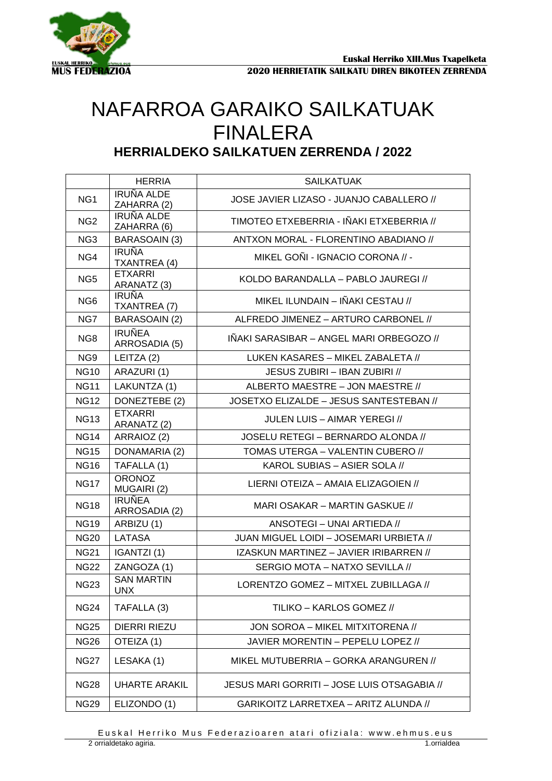

## NAFARROA GARAIKO SAILKATUAK FINALERA **HERRIALDEKO SAILKATUEN ZERRENDA / 2022**

|                 | <b>HERRIA</b>                    | <b>SAILKATUAK</b>                           |
|-----------------|----------------------------------|---------------------------------------------|
| NG <sub>1</sub> | <b>IRUÑA ALDE</b><br>ZAHARRA (2) | JOSE JAVIER LIZASO - JUANJO CABALLERO //    |
| NG <sub>2</sub> | <b>IRUÑA ALDE</b><br>ZAHARRA (6) | TIMOTEO ETXEBERRIA - IÑAKI ETXEBERRIA //    |
| NG <sub>3</sub> | BARASOAIN (3)                    | ANTXON MORAL - FLORENTINO ABADIANO //       |
| NG4             | <b>IRUÑA</b><br>TXANTREA (4)     | MIKEL GOÑI - IGNACIO CORONA // -            |
| NG <sub>5</sub> | <b>ETXARRI</b><br>ARANATZ (3)    | KOLDO BARANDALLA - PABLO JAUREGI //         |
| NG <sub>6</sub> | <b>IRUÑA</b><br>TXANTREA (7)     | MIKEL ILUNDAIN - IÑAKI CESTAU //            |
| NG7             | BARASOAIN (2)                    | ALFREDO JIMENEZ - ARTURO CARBONEL //        |
| NG8             | <b>IRUÑEA</b><br>ARROSADIA (5)   | IÑAKI SARASIBAR – ANGEL MARI ORBEGOZO //    |
| NG <sub>9</sub> | LEITZA (2)                       | LUKEN KASARES - MIKEL ZABALETA //           |
| <b>NG10</b>     | ARAZURI (1)                      | JESUS ZUBIRI - IBAN ZUBIRI //               |
| <b>NG11</b>     | LAKUNTZA (1)                     | ALBERTO MAESTRE - JON MAESTRE //            |
| <b>NG12</b>     | DONEZTEBE (2)                    | JOSETXO ELIZALDE - JESUS SANTESTEBAN //     |
| <b>NG13</b>     | <b>ETXARRI</b><br>ARANATZ (2)    | JULEN LUIS – AIMAR YEREGI //                |
| <b>NG14</b>     | ARRAIOZ (2)                      | JOSELU RETEGI - BERNARDO ALONDA //          |
| <b>NG15</b>     | DONAMARIA (2)                    | TOMAS UTERGA - VALENTIN CUBERO //           |
| <b>NG16</b>     | TAFALLA (1)                      | KAROL SUBIAS - ASIER SOLA //                |
| <b>NG17</b>     | <b>ORONOZ</b><br>MUGAIRI (2)     | LIERNI OTEIZA - AMAIA ELIZAGOIEN //         |
| <b>NG18</b>     | <b>IRUÑEA</b><br>ARROSADIA (2)   | MARI OSAKAR – MARTIN GASKUE //              |
| <b>NG19</b>     | ARBIZU (1)                       | ANSOTEGI - UNAI ARTIEDA //                  |
| <b>NG20</b>     | <b>LATASA</b>                    | JUAN MIGUEL LOIDI - JOSEMARI URBIETA //     |
| <b>NG21</b>     | IGANTZI(1)                       | IZASKUN MARTINEZ - JAVIER IRIBARREN //      |
| <b>NG22</b>     | ZANGOZA (1)                      | SERGIO MOTA – NATXO SEVILLA //              |
| <b>NG23</b>     | <b>SAN MARTIN</b><br>UNX         | LORENTZO GOMEZ - MITXEL ZUBILLAGA //        |
| <b>NG24</b>     | TAFALLA (3)                      | TILIKO - KARLOS GOMEZ //                    |
| <b>NG25</b>     | <b>DIERRI RIEZU</b>              | JON SOROA - MIKEL MITXITORENA //            |
| <b>NG26</b>     | OTEIZA (1)                       | JAVIER MORENTIN - PEPELU LOPEZ //           |
| <b>NG27</b>     | LESAKA (1)                       | MIKEL MUTUBERRIA – GORKA ARANGUREN //       |
| <b>NG28</b>     | <b>UHARTE ARAKIL</b>             | JESUS MARI GORRITI - JOSE LUIS OTSAGABIA // |
| <b>NG29</b>     | ELIZONDO (1)                     | GARIKOITZ LARRETXEA - ARITZ ALUNDA //       |

Euskal Herriko Mus Federazioaren atari ofiziala: www.ehmus.eus 2 orrialdetako agiria. 1.orrialdea